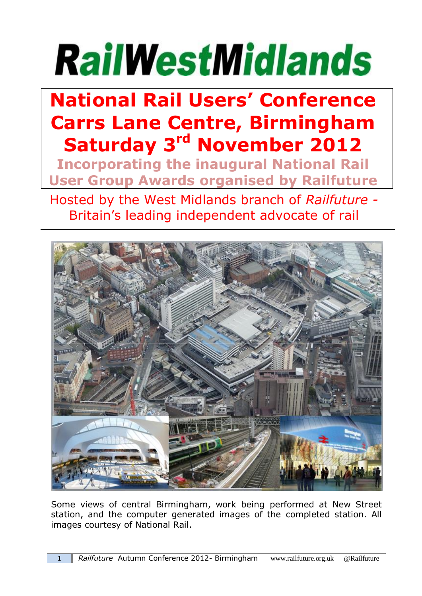# **RailWestMidlands**

## **National Rail Users' Conference Carrs Lane Centre, Birmingham Saturday 3 rd November 2012**

**Incorporating the inaugural National Rail User Group Awards organised by Railfuture**

Hosted by the West Midlands branch of *Railfuture -* Britain's leading independent advocate of rail



Some views of central Birmingham, work being performed at New Street station, and the computer generated images of the completed station. All images courtesy of National Rail.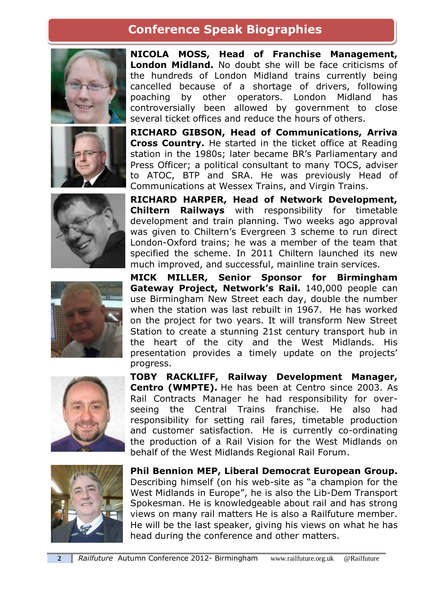#### **Conference Speak Biographies**









**NICOLA MOSS, Head of Franchise Management, London Midland.** No doubt she will be face criticisms of the hundreds of London Midland trains currently being cancelled because of a shortage of drivers, following poaching by other operators. London Midland has controversially been allowed by government to close several ticket offices and reduce the hours of others.

**RICHARD GIBSON, Head of Communications, Arriva Cross Country.** He started in the ticket office at Reading station in the 1980s; later became BR's Parliamentary and Press Officer; a political consultant to many TOCS, adviser to ATOC, BTP and SRA. He was previously Head of Communications at Wessex Trains, and Virgin Trains.

**RICHARD HARPER, Head of Network Development, Chiltern Railways** with responsibility for timetable development and train planning. Two weeks ago approval was given to Chiltern's Evergreen 3 scheme to run direct London-Oxford trains; he was a member of the team that specified the scheme. In 2011 Chiltern launched its new much improved, and successful, mainline train services.

**MICK MILLER, Senior Sponsor for Birmingham Gateway Project, Network's Rail.** 140,000 people can use Birmingham New Street each day, double the number when the station was last rebuilt in 1967. He has worked on the project for two years. It will transform New Street Station to create a stunning 21st century transport hub in the heart of the city and the West Midlands. His presentation provides a timely update on the projects' progress.



**TOBY RACKLIFF, Railway Development Manager, Centro (WMPTE).** He has been at Centro since 2003. As Rail Contracts Manager he had responsibility for overseeing the Central Trains franchise. He also had responsibility for setting rail fares, timetable production and customer satisfaction. He is currently co-ordinating the production of a Rail Vision for the West Midlands on behalf of the West Midlands Regional Rail Forum.



**Phil Bennion MEP, Liberal Democrat European Group.** Describing himself (on his web-site as "a champion for the West Midlands in Europe", he is also the Lib-Dem Transport Spokesman. He is knowledgeable about rail and has strong views on many rail matters He is also a Railfuture member. He will be the last speaker, giving his views on what he has head during the conference and other matters.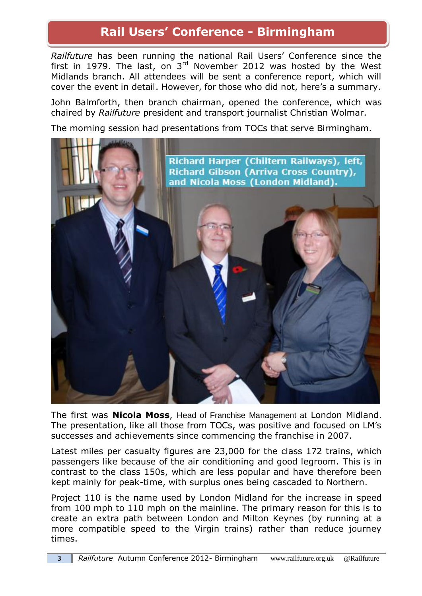#### **Rail Users' Conference - Birmingham**

*Railfuture* has been running the national Rail Users' Conference since the first in 1979. The last, on  $3<sup>rd</sup>$  November 2012 was hosted by the West Midlands branch. All attendees will be sent a conference report, which will cover the event in detail. However, for those who did not, here's a summary.

John Balmforth, then branch chairman, opened the conference, which was chaired by *Railfuture* president and transport journalist Christian Wolmar.

The morning session had presentations from TOCs that serve Birmingham.



The first was **Nicola Moss**, Head of Franchise Management at London Midland. The presentation, like all those from TOCs, was positive and focused on LM's successes and achievements since commencing the franchise in 2007.

Latest miles per casualty figures are 23,000 for the class 172 trains, which passengers like because of the air conditioning and good legroom. This is in contrast to the class 150s, which are less popular and have therefore been kept mainly for peak-time, with surplus ones being cascaded to Northern.

Project 110 is the name used by London Midland for the increase in speed from 100 mph to 110 mph on the mainline. The primary reason for this is to create an extra path between London and Milton Keynes (by running at a more compatible speed to the Virgin trains) rather than reduce journey times.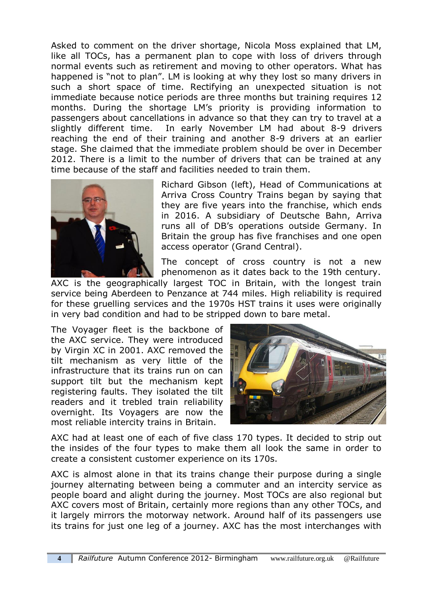Asked to comment on the driver shortage, Nicola Moss explained that LM, like all TOCs, has a permanent plan to cope with loss of drivers through normal events such as retirement and moving to other operators. What has happened is "not to plan". LM is looking at why they lost so many drivers in such a short space of time. Rectifying an unexpected situation is not immediate because notice periods are three months but training requires 12 months. During the shortage LM's priority is providing information to passengers about cancellations in advance so that they can try to travel at a slightly different time. In early November LM had about 8-9 drivers reaching the end of their training and another 8-9 drivers at an earlier stage. She claimed that the immediate problem should be over in December 2012. There is a limit to the number of drivers that can be trained at any time because of the staff and facilities needed to train them.



Richard Gibson (left), Head of Communications at Arriva Cross Country Trains began by saying that they are five years into the franchise, which ends in 2016. A subsidiary of Deutsche Bahn, Arriva runs all of DB's operations outside Germany. In Britain the group has five franchises and one open access operator (Grand Central).

The concept of cross country is not a new phenomenon as it dates back to the 19th century.

AXC is the geographically largest TOC in Britain, with the longest train service being Aberdeen to Penzance at 744 miles. High reliability is required for these gruelling services and the 1970s HST trains it uses were originally in very bad condition and had to be stripped down to bare metal.

The Voyager fleet is the backbone of the AXC service. They were introduced by Virgin XC in 2001. AXC removed the tilt mechanism as very little of the infrastructure that its trains run on can support tilt but the mechanism kept registering faults. They isolated the tilt readers and it trebled train reliability overnight. Its Voyagers are now the most reliable intercity trains in Britain.



AXC had at least one of each of five class 170 types. It decided to strip out the insides of the four types to make them all look the same in order to create a consistent customer experience on its 170s.

AXC is almost alone in that its trains change their purpose during a single journey alternating between being a commuter and an intercity service as people board and alight during the journey. Most TOCs are also regional but AXC covers most of Britain, certainly more regions than any other TOCs, and it largely mirrors the motorway network. Around half of its passengers use its trains for just one leg of a journey. AXC has the most interchanges with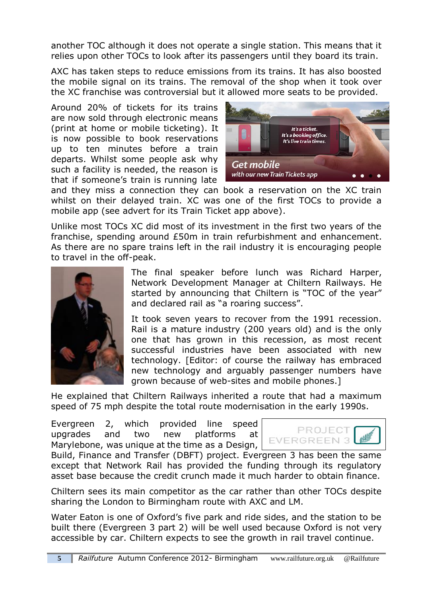another TOC although it does not operate a single station. This means that it relies upon other TOCs to look after its passengers until they board its train.

AXC has taken steps to reduce emissions from its trains. It has also boosted the mobile signal on its trains. The removal of the shop when it took over the XC franchise was controversial but it allowed more seats to be provided.

Around 20% of tickets for its trains are now sold through electronic means (print at home or mobile ticketing). It is now possible to book reservations up to ten minutes before a train departs. Whilst some people ask why such a facility is needed, the reason is that if someone's train is running late



and they miss a connection they can book a reservation on the XC train whilst on their delayed train. XC was one of the first TOCs to provide a mobile app (see advert for its Train Ticket app above).

Unlike most TOCs XC did most of its investment in the first two years of the franchise, spending around £50m in train refurbishment and enhancement. As there are no spare trains left in the rail industry it is encouraging people to travel in the off-peak.



The final speaker before lunch was Richard Harper, Network Development Manager at Chiltern Railways. He started by announcing that Chiltern is "TOC of the year" and declared rail as "a roaring success".

It took seven years to recover from the 1991 recession. Rail is a mature industry (200 years old) and is the only one that has grown in this recession, as most recent successful industries have been associated with new technology. [Editor: of course the railway has embraced new technology and arguably passenger numbers have grown because of web-sites and mobile phones.]

He explained that Chiltern Railways inherited a route that had a maximum speed of 75 mph despite the total route modernisation in the early 1990s.

Evergreen 2, which provided line speed upgrades and two new platforms at Marylebone, was unique at the time as a Design,



Build, Finance and Transfer (DBFT) project. Evergreen 3 has been the same except that Network Rail has provided the funding through its regulatory asset base because the credit crunch made it much harder to obtain finance.

Chiltern sees its main competitor as the car rather than other TOCs despite sharing the London to Birmingham route with AXC and LM.

Water Eaton is one of Oxford's five park and ride sides, and the station to be built there (Evergreen 3 part 2) will be well used because Oxford is not very accessible by car. Chiltern expects to see the growth in rail travel continue.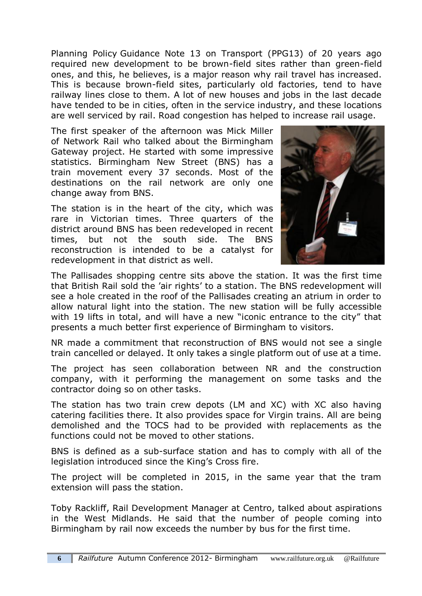Planning Policy Guidance Note 13 on Transport (PPG13) of 20 years ago required new development to be brown-field sites rather than green-field ones, and this, he believes, is a major reason why rail travel has increased. This is because brown-field sites, particularly old factories, tend to have railway lines close to them. A lot of new houses and jobs in the last decade have tended to be in cities, often in the service industry, and these locations are well serviced by rail. Road congestion has helped to increase rail usage.

The first speaker of the afternoon was Mick Miller of Network Rail who talked about the Birmingham Gateway project. He started with some impressive statistics. Birmingham New Street (BNS) has a train movement every 37 seconds. Most of the destinations on the rail network are only one change away from BNS.

The station is in the heart of the city, which was rare in Victorian times. Three quarters of the district around BNS has been redeveloped in recent times, but not the south side. The BNS reconstruction is intended to be a catalyst for redevelopment in that district as well.



The Pallisades shopping centre sits above the station. It was the first time that British Rail sold the 'air rights' to a station. The BNS redevelopment will see a hole created in the roof of the Pallisades creating an atrium in order to allow natural light into the station. The new station will be fully accessible with 19 lifts in total, and will have a new "iconic entrance to the city" that presents a much better first experience of Birmingham to visitors.

NR made a commitment that reconstruction of BNS would not see a single train cancelled or delayed. It only takes a single platform out of use at a time.

The project has seen collaboration between NR and the construction company, with it performing the management on some tasks and the contractor doing so on other tasks.

The station has two train crew depots (LM and XC) with XC also having catering facilities there. It also provides space for Virgin trains. All are being demolished and the TOCS had to be provided with replacements as the functions could not be moved to other stations.

BNS is defined as a sub-surface station and has to comply with all of the legislation introduced since the King's Cross fire.

The project will be completed in 2015, in the same year that the tram extension will pass the station.

Toby Rackliff, Rail Development Manager at Centro, talked about aspirations in the West Midlands. He said that the number of people coming into Birmingham by rail now exceeds the number by bus for the first time.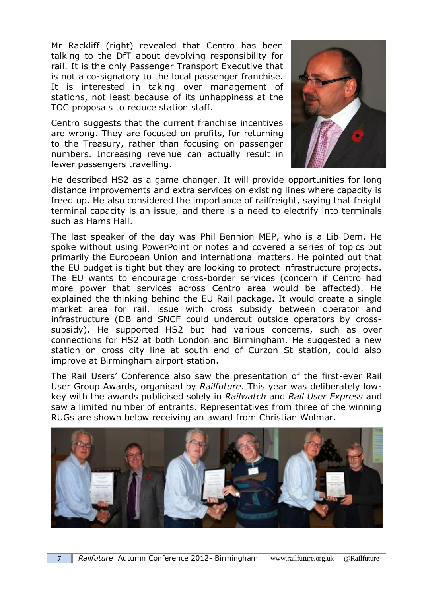Mr Rackliff (right) revealed that Centro has been talking to the DfT about devolving responsibility for rail. It is the only Passenger Transport Executive that is not a co-signatory to the local passenger franchise. It is interested in taking over management of stations, not least because of its unhappiness at the TOC proposals to reduce station staff.

Centro suggests that the current franchise incentives are wrong. They are focused on profits, for returning to the Treasury, rather than focusing on passenger numbers. Increasing revenue can actually result in fewer passengers travelling.



He described HS2 as a game changer. It will provide opportunities for long distance improvements and extra services on existing lines where capacity is freed up. He also considered the importance of railfreight, saying that freight terminal capacity is an issue, and there is a need to electrify into terminals such as Hams Hall.

The last speaker of the day was Phil Bennion MEP, who is a Lib Dem. He spoke without using PowerPoint or notes and covered a series of topics but primarily the European Union and international matters. He pointed out that the EU budget is tight but they are looking to protect infrastructure projects. The EU wants to encourage cross-border services (concern if Centro had more power that services across Centro area would be affected). He explained the thinking behind the EU Rail package. It would create a single market area for rail, issue with cross subsidy between operator and infrastructure (DB and SNCF could undercut outside operators by crosssubsidy). He supported HS2 but had various concerns, such as over connections for HS2 at both London and Birmingham. He suggested a new station on cross city line at south end of Curzon St station, could also improve at Birmingham airport station.

The Rail Users' Conference also saw the presentation of the first-ever Rail User Group Awards, organised by *Railfuture*. This year was deliberately lowkey with the awards publicised solely in *Railwatch* and *Rail User Express* and saw a limited number of entrants. Representatives from three of the winning RUGs are shown below receiving an award from Christian Wolmar.

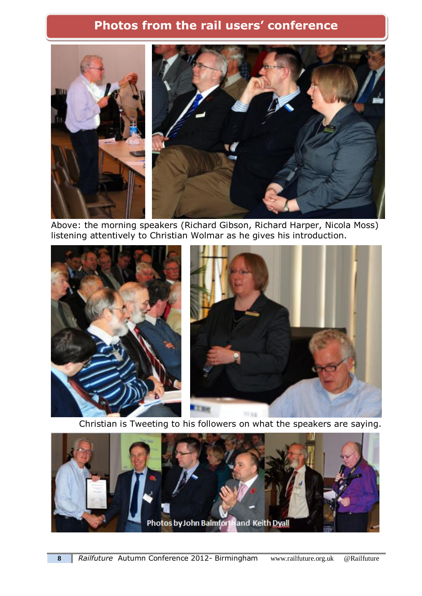#### **Photos from the rail users' conference**



Above: the morning speakers (Richard Gibson, Richard Harper, Nicola Moss) listening attentively to Christian Wolmar as he gives his introduction.



Christian is Tweeting to his followers on what the speakers are saying.

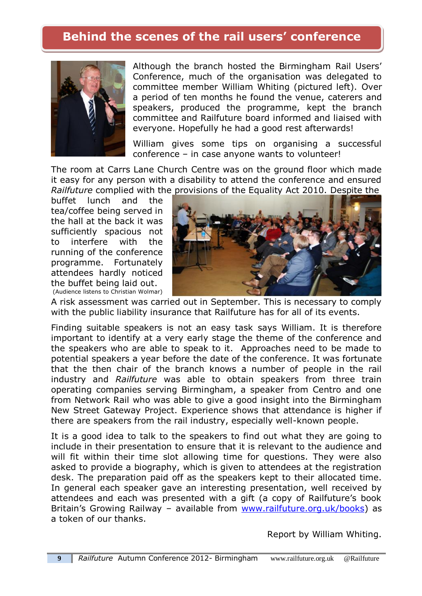#### **Behind the scenes of the rail users' conference**



Although the branch hosted the Birmingham Rail Users' Conference, much of the organisation was delegated to committee member William Whiting (pictured left). Over a period of ten months he found the venue, caterers and speakers, produced the programme, kept the branch committee and Railfuture board informed and liaised with everyone. Hopefully he had a good rest afterwards!

William gives some tips on organising a successful conference – in case anyone wants to volunteer!

The room at Carrs Lane Church Centre was on the ground floor which made it easy for any person with a disability to attend the conference and ensured *Railfuture* complied with the provisions of the Equality Act 2010. Despite the

buffet lunch and the tea/coffee being served in the hall at the back it was sufficiently spacious not to interfere with the running of the conference programme. Fortunately attendees hardly noticed the buffet being laid out. (Audience listens to Christian Wolmar)



A risk assessment was carried out in September. This is necessary to comply with the public liability insurance that Railfuture has for all of its events.

Finding suitable speakers is not an easy task says William. It is therefore important to identify at a very early stage the theme of the conference and the speakers who are able to speak to it. Approaches need to be made to potential speakers a year before the date of the conference. It was fortunate that the then chair of the branch knows a number of people in the rail industry and *Railfuture* was able to obtain speakers from three train operating companies serving Birmingham, a speaker from Centro and one from Network Rail who was able to give a good insight into the Birmingham New Street Gateway Project. Experience shows that attendance is higher if there are speakers from the rail industry, especially well-known people.

It is a good idea to talk to the speakers to find out what they are going to include in their presentation to ensure that it is relevant to the audience and will fit within their time slot allowing time for questions. They were also asked to provide a biography, which is given to attendees at the registration desk. The preparation paid off as the speakers kept to their allocated time. In general each speaker gave an interesting presentation, well received by attendees and each was presented with a gift (a copy of Railfuture's book Britain's Growing Railway – available from [www.railfuture.org.uk/books\)](www.railfuture.org.uk/books) as a token of our thanks.

Report by William Whiting.